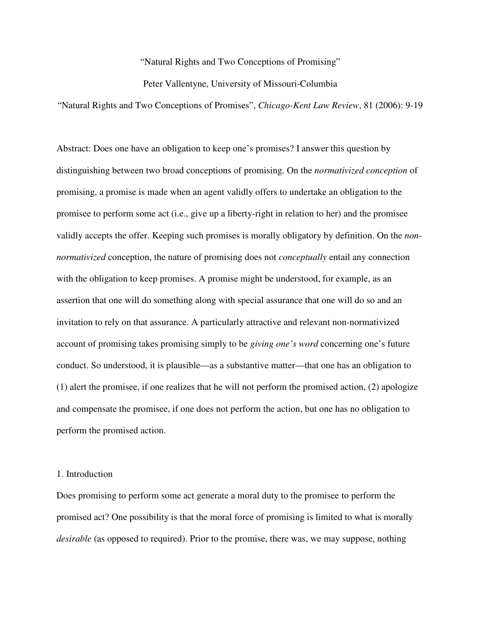"Natural Rights and Two Conceptions of Promising"

Peter Vallentyne, University of Missouri-Columbia

"Natural Rights and Two Conceptions of Promises", *Chicago-Kent Law Review*, 81 (2006): 9-19

Abstract: Does one have an obligation to keep one's promises? I answer this question by distinguishing between two broad conceptions of promising. On the *normativized conception* of promising, a promise is made when an agent validly offers to undertake an obligation to the promisee to perform some act (i.e., give up a liberty-right in relation to her) and the promisee validly accepts the offer. Keeping such promises is morally obligatory by definition. On the *nonnormativized* conception, the nature of promising does not *conceptually* entail any connection with the obligation to keep promises. A promise might be understood, for example, as an assertion that one will do something along with special assurance that one will do so and an invitation to rely on that assurance. A particularly attractive and relevant non-normativized account of promising takes promising simply to be *giving one's word* concerning one's future conduct. So understood, it is plausible—as a substantive matter—that one has an obligation to (1) alert the promisee, if one realizes that he will not perform the promised action, (2) apologize and compensate the promisee, if one does not perform the action, but one has no obligation to perform the promised action.

## 1. Introduction

Does promising to perform some act generate a moral duty to the promisee to perform the promised act? One possibility is that the moral force of promising is limited to what is morally *desirable* (as opposed to required). Prior to the promise, there was, we may suppose, nothing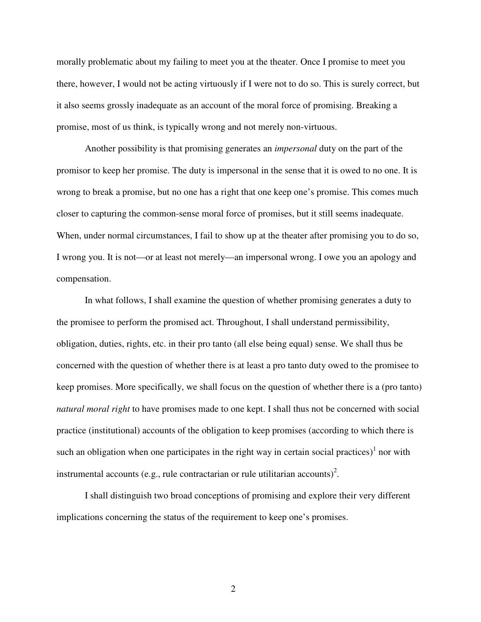morally problematic about my failing to meet you at the theater. Once I promise to meet you there, however, I would not be acting virtuously if I were not to do so. This is surely correct, but it also seems grossly inadequate as an account of the moral force of promising. Breaking a promise, most of us think, is typically wrong and not merely non-virtuous.

 Another possibility is that promising generates an *impersonal* duty on the part of the promisor to keep her promise. The duty is impersonal in the sense that it is owed to no one. It is wrong to break a promise, but no one has a right that one keep one's promise. This comes much closer to capturing the common-sense moral force of promises, but it still seems inadequate. When, under normal circumstances, I fail to show up at the theater after promising you to do so, I wrong you. It is not—or at least not merely—an impersonal wrong. I owe you an apology and compensation.

In what follows, I shall examine the question of whether promising generates a duty to the promisee to perform the promised act. Throughout, I shall understand permissibility, obligation, duties, rights, etc. in their pro tanto (all else being equal) sense. We shall thus be concerned with the question of whether there is at least a pro tanto duty owed to the promisee to keep promises. More specifically, we shall focus on the question of whether there is a (pro tanto) *natural moral right* to have promises made to one kept. I shall thus not be concerned with social practice (institutional) accounts of the obligation to keep promises (according to which there is such an obligation when one participates in the right way in certain social practices) $1$  nor with instrumental accounts (e.g., rule contractarian or rule utilitarian accounts)<sup>2</sup>.

I shall distinguish two broad conceptions of promising and explore their very different implications concerning the status of the requirement to keep one's promises.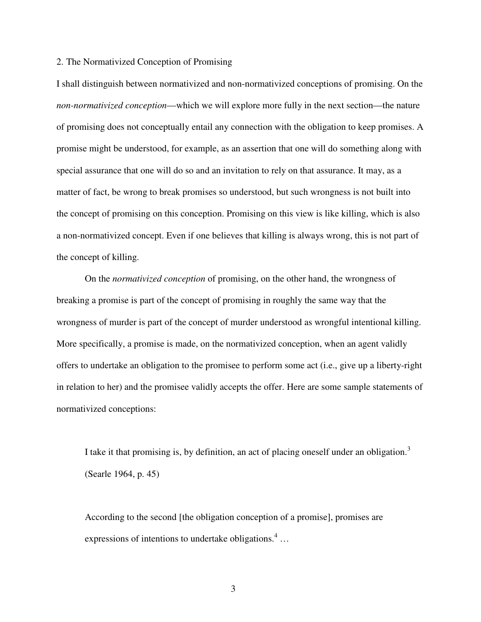## 2. The Normativized Conception of Promising

I shall distinguish between normativized and non-normativized conceptions of promising. On the *non-normativized conception*—which we will explore more fully in the next section—the nature of promising does not conceptually entail any connection with the obligation to keep promises. A promise might be understood, for example, as an assertion that one will do something along with special assurance that one will do so and an invitation to rely on that assurance. It may, as a matter of fact, be wrong to break promises so understood, but such wrongness is not built into the concept of promising on this conception. Promising on this view is like killing, which is also a non-normativized concept. Even if one believes that killing is always wrong, this is not part of the concept of killing.

 On the *normativized conception* of promising, on the other hand, the wrongness of breaking a promise is part of the concept of promising in roughly the same way that the wrongness of murder is part of the concept of murder understood as wrongful intentional killing. More specifically, a promise is made, on the normativized conception, when an agent validly offers to undertake an obligation to the promisee to perform some act (i.e., give up a liberty-right in relation to her) and the promisee validly accepts the offer. Here are some sample statements of normativized conceptions:

I take it that promising is, by definition, an act of placing oneself under an obligation.<sup>3</sup> (Searle 1964, p. 45)

According to the second [the obligation conception of a promise], promises are expressions of intentions to undertake obligations. $4 \dots$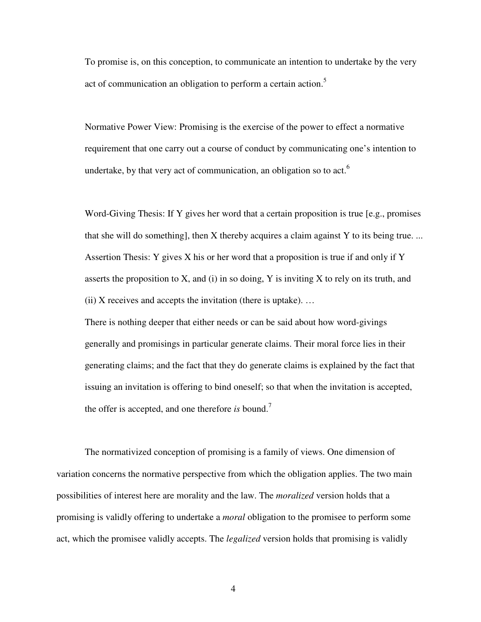To promise is, on this conception, to communicate an intention to undertake by the very act of communication an obligation to perform a certain action.<sup>5</sup>

Normative Power View: Promising is the exercise of the power to effect a normative requirement that one carry out a course of conduct by communicating one's intention to undertake, by that very act of communication, an obligation so to act.<sup>6</sup>

Word-Giving Thesis: If Y gives her word that a certain proposition is true [e.g., promises that she will do something], then X thereby acquires a claim against Y to its being true. ... Assertion Thesis: Y gives X his or her word that a proposition is true if and only if Y asserts the proposition to  $X$ , and (i) in so doing,  $Y$  is inviting  $X$  to rely on its truth, and  $(ii)$  X receives and accepts the invitation (there is uptake).  $\dots$ 

There is nothing deeper that either needs or can be said about how word-givings generally and promisings in particular generate claims. Their moral force lies in their generating claims; and the fact that they do generate claims is explained by the fact that issuing an invitation is offering to bind oneself; so that when the invitation is accepted, the offer is accepted, and one therefore *is* bound.<sup>7</sup>

The normativized conception of promising is a family of views. One dimension of variation concerns the normative perspective from which the obligation applies. The two main possibilities of interest here are morality and the law. The *moralized* version holds that a promising is validly offering to undertake a *moral* obligation to the promisee to perform some act, which the promisee validly accepts. The *legalized* version holds that promising is validly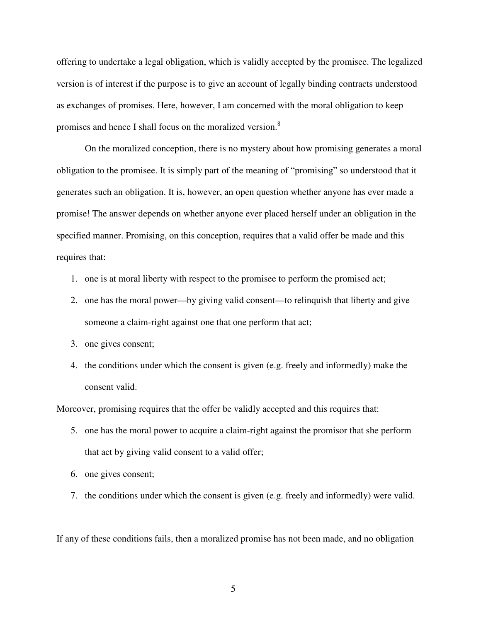offering to undertake a legal obligation, which is validly accepted by the promisee. The legalized version is of interest if the purpose is to give an account of legally binding contracts understood as exchanges of promises. Here, however, I am concerned with the moral obligation to keep promises and hence I shall focus on the moralized version.<sup>8</sup>

On the moralized conception, there is no mystery about how promising generates a moral obligation to the promisee. It is simply part of the meaning of "promising" so understood that it generates such an obligation. It is, however, an open question whether anyone has ever made a promise! The answer depends on whether anyone ever placed herself under an obligation in the specified manner. Promising, on this conception, requires that a valid offer be made and this requires that:

- 1. one is at moral liberty with respect to the promisee to perform the promised act;
- 2. one has the moral power—by giving valid consent—to relinquish that liberty and give someone a claim-right against one that one perform that act;
- 3. one gives consent;
- 4. the conditions under which the consent is given (e.g. freely and informedly) make the consent valid.

Moreover, promising requires that the offer be validly accepted and this requires that:

- 5. one has the moral power to acquire a claim-right against the promisor that she perform that act by giving valid consent to a valid offer;
- 6. one gives consent;
- 7. the conditions under which the consent is given (e.g. freely and informedly) were valid.

If any of these conditions fails, then a moralized promise has not been made, and no obligation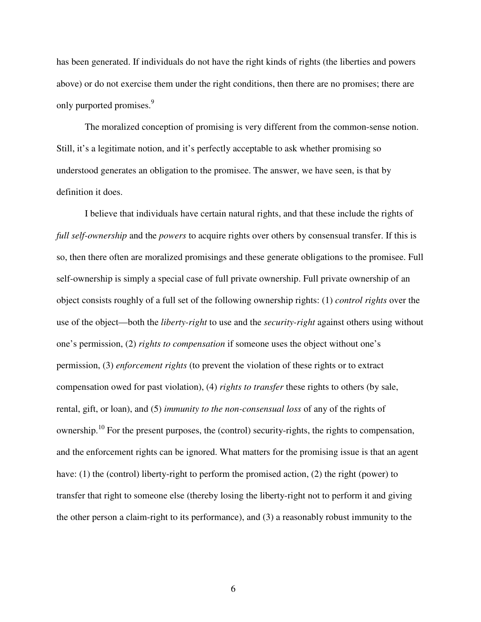has been generated. If individuals do not have the right kinds of rights (the liberties and powers above) or do not exercise them under the right conditions, then there are no promises; there are only purported promises.<sup>9</sup>

 The moralized conception of promising is very different from the common-sense notion. Still, it's a legitimate notion, and it's perfectly acceptable to ask whether promising so understood generates an obligation to the promisee. The answer, we have seen, is that by definition it does.

I believe that individuals have certain natural rights, and that these include the rights of *full self-ownership* and the *powers* to acquire rights over others by consensual transfer. If this is so, then there often are moralized promisings and these generate obligations to the promisee. Full self-ownership is simply a special case of full private ownership. Full private ownership of an object consists roughly of a full set of the following ownership rights: (1) *control rights* over the use of the object—both the *liberty-right* to use and the *security-right* against others using without one's permission, (2) *rights to compensation* if someone uses the object without one's permission, (3) *enforcement rights* (to prevent the violation of these rights or to extract compensation owed for past violation), (4) *rights to transfer* these rights to others (by sale, rental, gift, or loan), and (5) *immunity to the non-consensual loss* of any of the rights of ownership.<sup>10</sup> For the present purposes, the (control) security-rights, the rights to compensation, and the enforcement rights can be ignored. What matters for the promising issue is that an agent have: (1) the (control) liberty-right to perform the promised action, (2) the right (power) to transfer that right to someone else (thereby losing the liberty-right not to perform it and giving the other person a claim-right to its performance), and (3) a reasonably robust immunity to the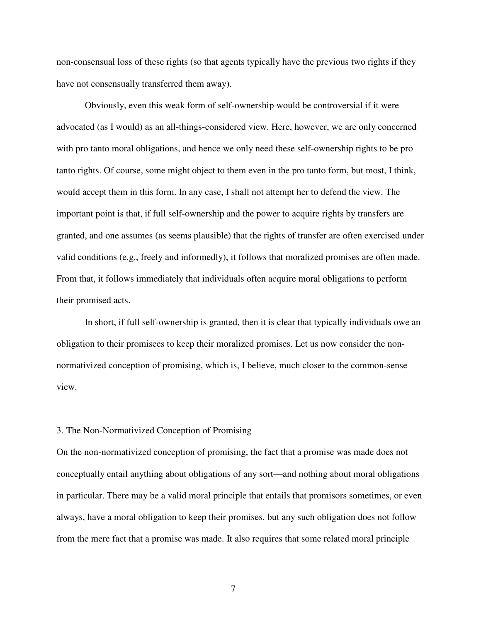non-consensual loss of these rights (so that agents typically have the previous two rights if they have not consensually transferred them away).

Obviously, even this weak form of self-ownership would be controversial if it were advocated (as I would) as an all-things-considered view. Here, however, we are only concerned with pro tanto moral obligations, and hence we only need these self-ownership rights to be pro tanto rights. Of course, some might object to them even in the pro tanto form, but most, I think, would accept them in this form. In any case, I shall not attempt her to defend the view. The important point is that, if full self-ownership and the power to acquire rights by transfers are granted, and one assumes (as seems plausible) that the rights of transfer are often exercised under valid conditions (e.g., freely and informedly), it follows that moralized promises are often made. From that, it follows immediately that individuals often acquire moral obligations to perform their promised acts.

In short, if full self-ownership is granted, then it is clear that typically individuals owe an obligation to their promisees to keep their moralized promises. Let us now consider the nonnormativized conception of promising, which is, I believe, much closer to the common-sense view.

## 3. The Non-Normativized Conception of Promising

On the non-normativized conception of promising, the fact that a promise was made does not conceptually entail anything about obligations of any sort—and nothing about moral obligations in particular. There may be a valid moral principle that entails that promisors sometimes, or even always, have a moral obligation to keep their promises, but any such obligation does not follow from the mere fact that a promise was made. It also requires that some related moral principle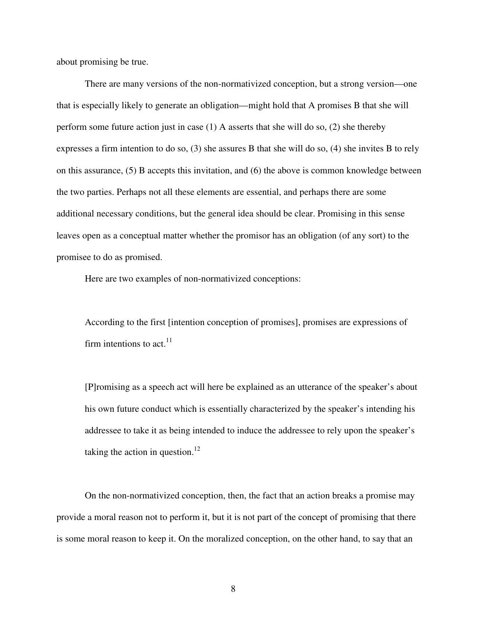about promising be true.

 There are many versions of the non-normativized conception, but a strong version—one that is especially likely to generate an obligation—might hold that A promises B that she will perform some future action just in case (1) A asserts that she will do so, (2) she thereby expresses a firm intention to do so, (3) she assures B that she will do so, (4) she invites B to rely on this assurance, (5) B accepts this invitation, and (6) the above is common knowledge between the two parties. Perhaps not all these elements are essential, and perhaps there are some additional necessary conditions, but the general idea should be clear. Promising in this sense leaves open as a conceptual matter whether the promisor has an obligation (of any sort) to the promisee to do as promised.

Here are two examples of non-normativized conceptions:

According to the first [intention conception of promises], promises are expressions of firm intentions to act.  $11$ 

[P]romising as a speech act will here be explained as an utterance of the speaker's about his own future conduct which is essentially characterized by the speaker's intending his addressee to take it as being intended to induce the addressee to rely upon the speaker's taking the action in question.<sup>12</sup>

On the non-normativized conception, then, the fact that an action breaks a promise may provide a moral reason not to perform it, but it is not part of the concept of promising that there is some moral reason to keep it. On the moralized conception, on the other hand, to say that an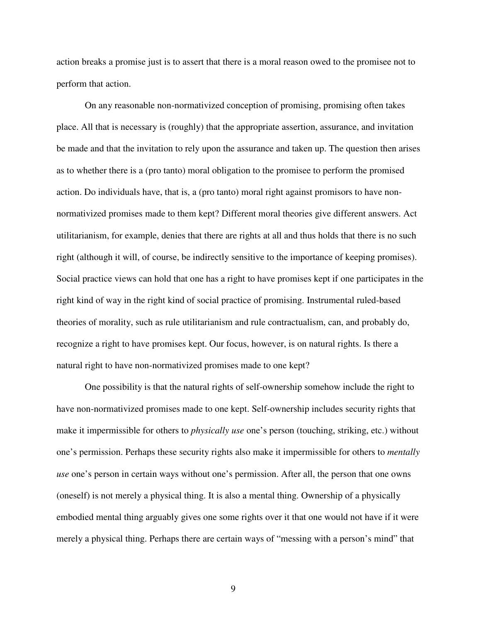action breaks a promise just is to assert that there is a moral reason owed to the promisee not to perform that action.

On any reasonable non-normativized conception of promising, promising often takes place. All that is necessary is (roughly) that the appropriate assertion, assurance, and invitation be made and that the invitation to rely upon the assurance and taken up. The question then arises as to whether there is a (pro tanto) moral obligation to the promisee to perform the promised action. Do individuals have, that is, a (pro tanto) moral right against promisors to have nonnormativized promises made to them kept? Different moral theories give different answers. Act utilitarianism, for example, denies that there are rights at all and thus holds that there is no such right (although it will, of course, be indirectly sensitive to the importance of keeping promises). Social practice views can hold that one has a right to have promises kept if one participates in the right kind of way in the right kind of social practice of promising. Instrumental ruled-based theories of morality, such as rule utilitarianism and rule contractualism, can, and probably do, recognize a right to have promises kept. Our focus, however, is on natural rights. Is there a natural right to have non-normativized promises made to one kept?

One possibility is that the natural rights of self-ownership somehow include the right to have non-normativized promises made to one kept. Self-ownership includes security rights that make it impermissible for others to *physically use* one's person (touching, striking, etc.) without one's permission. Perhaps these security rights also make it impermissible for others to *mentally use* one's person in certain ways without one's permission. After all, the person that one owns (oneself) is not merely a physical thing. It is also a mental thing. Ownership of a physically embodied mental thing arguably gives one some rights over it that one would not have if it were merely a physical thing. Perhaps there are certain ways of "messing with a person's mind" that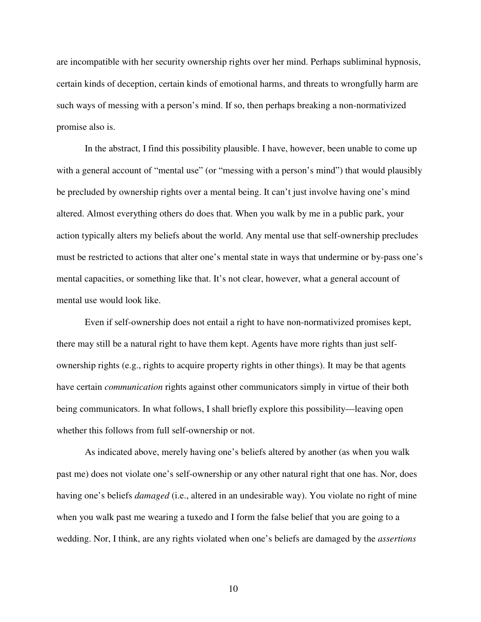are incompatible with her security ownership rights over her mind. Perhaps subliminal hypnosis, certain kinds of deception, certain kinds of emotional harms, and threats to wrongfully harm are such ways of messing with a person's mind. If so, then perhaps breaking a non-normativized promise also is.

In the abstract, I find this possibility plausible. I have, however, been unable to come up with a general account of "mental use" (or "messing with a person's mind") that would plausibly be precluded by ownership rights over a mental being. It can't just involve having one's mind altered. Almost everything others do does that. When you walk by me in a public park, your action typically alters my beliefs about the world. Any mental use that self-ownership precludes must be restricted to actions that alter one's mental state in ways that undermine or by-pass one's mental capacities, or something like that. It's not clear, however, what a general account of mental use would look like.

Even if self-ownership does not entail a right to have non-normativized promises kept, there may still be a natural right to have them kept. Agents have more rights than just selfownership rights (e.g., rights to acquire property rights in other things). It may be that agents have certain *communication* rights against other communicators simply in virtue of their both being communicators. In what follows, I shall briefly explore this possibility—leaving open whether this follows from full self-ownership or not.

As indicated above, merely having one's beliefs altered by another (as when you walk past me) does not violate one's self-ownership or any other natural right that one has. Nor, does having one's beliefs *damaged* (i.e., altered in an undesirable way). You violate no right of mine when you walk past me wearing a tuxedo and I form the false belief that you are going to a wedding. Nor, I think, are any rights violated when one's beliefs are damaged by the *assertions*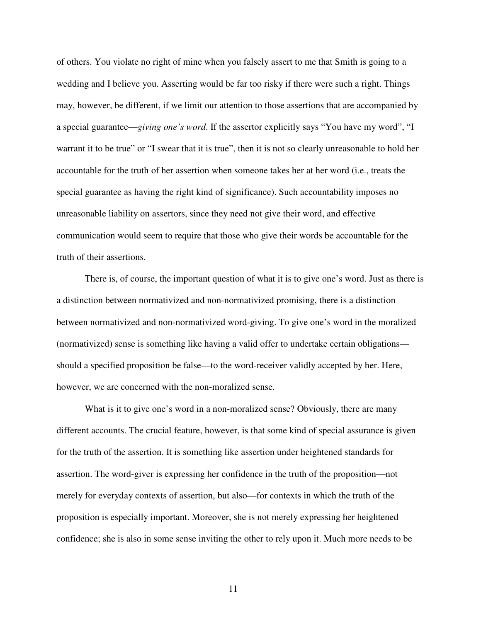of others. You violate no right of mine when you falsely assert to me that Smith is going to a wedding and I believe you. Asserting would be far too risky if there were such a right. Things may, however, be different, if we limit our attention to those assertions that are accompanied by a special guarantee—*giving one's word*. If the assertor explicitly says "You have my word", "I warrant it to be true" or "I swear that it is true", then it is not so clearly unreasonable to hold her accountable for the truth of her assertion when someone takes her at her word (i.e., treats the special guarantee as having the right kind of significance). Such accountability imposes no unreasonable liability on assertors, since they need not give their word, and effective communication would seem to require that those who give their words be accountable for the truth of their assertions.

There is, of course, the important question of what it is to give one's word. Just as there is a distinction between normativized and non-normativized promising, there is a distinction between normativized and non-normativized word-giving. To give one's word in the moralized (normativized) sense is something like having a valid offer to undertake certain obligations should a specified proposition be false—to the word-receiver validly accepted by her. Here, however, we are concerned with the non-moralized sense.

What is it to give one's word in a non-moralized sense? Obviously, there are many different accounts. The crucial feature, however, is that some kind of special assurance is given for the truth of the assertion. It is something like assertion under heightened standards for assertion. The word-giver is expressing her confidence in the truth of the proposition—not merely for everyday contexts of assertion, but also—for contexts in which the truth of the proposition is especially important. Moreover, she is not merely expressing her heightened confidence; she is also in some sense inviting the other to rely upon it. Much more needs to be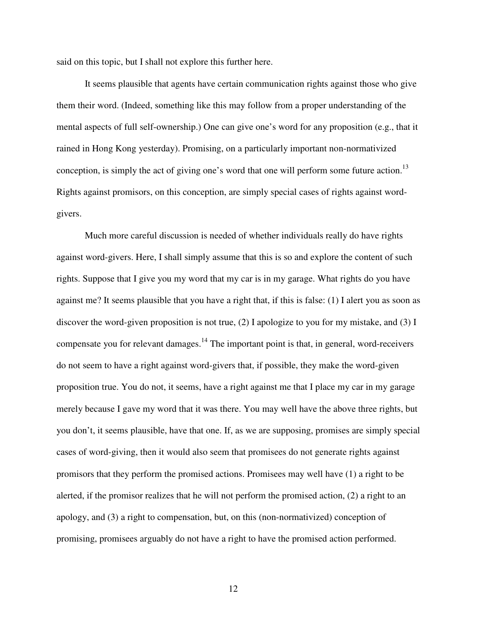said on this topic, but I shall not explore this further here.

 It seems plausible that agents have certain communication rights against those who give them their word. (Indeed, something like this may follow from a proper understanding of the mental aspects of full self-ownership.) One can give one's word for any proposition (e.g., that it rained in Hong Kong yesterday). Promising, on a particularly important non-normativized conception, is simply the act of giving one's word that one will perform some future action.<sup>13</sup> Rights against promisors, on this conception, are simply special cases of rights against wordgivers.

Much more careful discussion is needed of whether individuals really do have rights against word-givers. Here, I shall simply assume that this is so and explore the content of such rights. Suppose that I give you my word that my car is in my garage. What rights do you have against me? It seems plausible that you have a right that, if this is false: (1) I alert you as soon as discover the word-given proposition is not true, (2) I apologize to you for my mistake, and (3) I compensate you for relevant damages.<sup>14</sup> The important point is that, in general, word-receivers do not seem to have a right against word-givers that, if possible, they make the word-given proposition true. You do not, it seems, have a right against me that I place my car in my garage merely because I gave my word that it was there. You may well have the above three rights, but you don't, it seems plausible, have that one. If, as we are supposing, promises are simply special cases of word-giving, then it would also seem that promisees do not generate rights against promisors that they perform the promised actions. Promisees may well have (1) a right to be alerted, if the promisor realizes that he will not perform the promised action, (2) a right to an apology, and (3) a right to compensation, but, on this (non-normativized) conception of promising, promisees arguably do not have a right to have the promised action performed.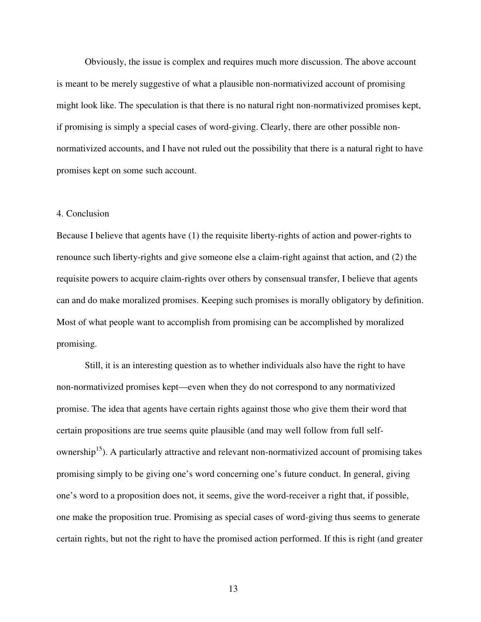Obviously, the issue is complex and requires much more discussion. The above account is meant to be merely suggestive of what a plausible non-normativized account of promising might look like. The speculation is that there is no natural right non-normativized promises kept, if promising is simply a special cases of word-giving. Clearly, there are other possible nonnormativized accounts, and I have not ruled out the possibility that there is a natural right to have promises kept on some such account.

## 4. Conclusion

Because I believe that agents have (1) the requisite liberty-rights of action and power-rights to renounce such liberty-rights and give someone else a claim-right against that action, and (2) the requisite powers to acquire claim-rights over others by consensual transfer, I believe that agents can and do make moralized promises. Keeping such promises is morally obligatory by definition. Most of what people want to accomplish from promising can be accomplished by moralized promising.

Still, it is an interesting question as to whether individuals also have the right to have non-normativized promises kept—even when they do not correspond to any normativized promise. The idea that agents have certain rights against those who give them their word that certain propositions are true seems quite plausible (and may well follow from full selfownership<sup>15</sup>). A particularly attractive and relevant non-normativized account of promising takes promising simply to be giving one's word concerning one's future conduct. In general, giving one's word to a proposition does not, it seems, give the word-receiver a right that, if possible, one make the proposition true. Promising as special cases of word-giving thus seems to generate certain rights, but not the right to have the promised action performed. If this is right (and greater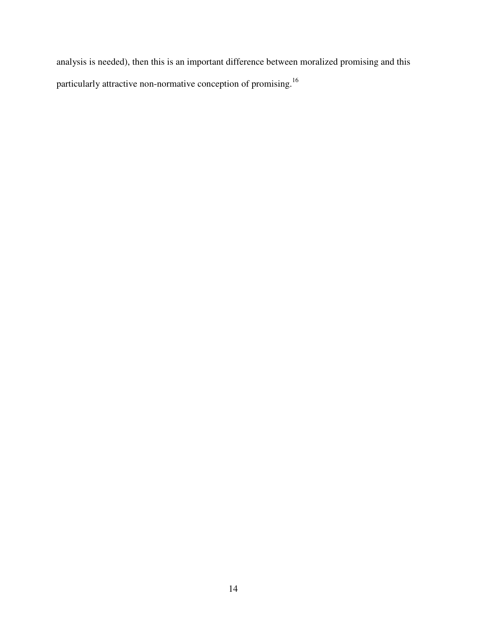analysis is needed), then this is an important difference between moralized promising and this particularly attractive non-normative conception of promising.<sup>16</sup>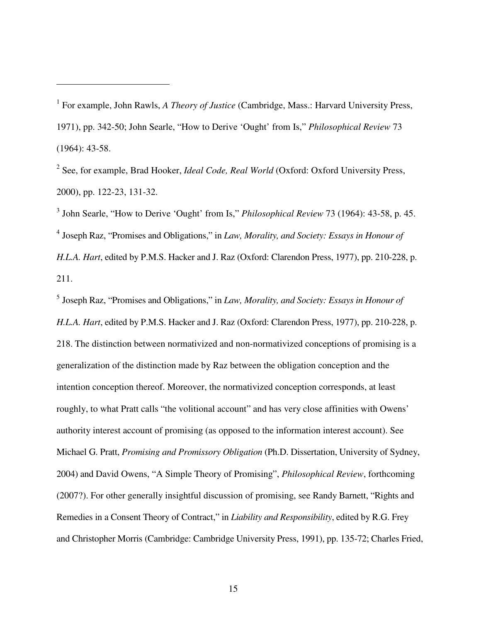$\overline{a}$ 

<sup>2</sup> See, for example, Brad Hooker, *Ideal Code, Real World* (Oxford: Oxford University Press, 2000), pp. 122-23, 131-32.

3 John Searle, "How to Derive 'Ought' from Is," *Philosophical Review* 73 (1964): 43-58, p. 45. 4 Joseph Raz, "Promises and Obligations," in *Law, Morality, and Society: Essays in Honour of H.L.A. Hart*, edited by P.M.S. Hacker and J. Raz (Oxford: Clarendon Press, 1977), pp. 210-228, p. 211.

5 Joseph Raz, "Promises and Obligations," in *Law, Morality, and Society: Essays in Honour of H.L.A. Hart*, edited by P.M.S. Hacker and J. Raz (Oxford: Clarendon Press, 1977), pp. 210-228, p. 218. The distinction between normativized and non-normativized conceptions of promising is a generalization of the distinction made by Raz between the obligation conception and the intention conception thereof. Moreover, the normativized conception corresponds, at least roughly, to what Pratt calls "the volitional account" and has very close affinities with Owens' authority interest account of promising (as opposed to the information interest account). See Michael G. Pratt, *Promising and Promissory Obligation* (Ph.D. Dissertation, University of Sydney, 2004) and David Owens, "A Simple Theory of Promising", *Philosophical Review*, forthcoming (2007?). For other generally insightful discussion of promising, see Randy Barnett, "Rights and Remedies in a Consent Theory of Contract," in *Liability and Responsibility*, edited by R.G. Frey and Christopher Morris (Cambridge: Cambridge University Press, 1991), pp. 135-72; Charles Fried,

<sup>&</sup>lt;sup>1</sup> For example, John Rawls, *A Theory of Justice* (Cambridge, Mass.: Harvard University Press, 1971), pp. 342-50; John Searle, "How to Derive 'Ought' from Is," *Philosophical Review* 73 (1964): 43-58.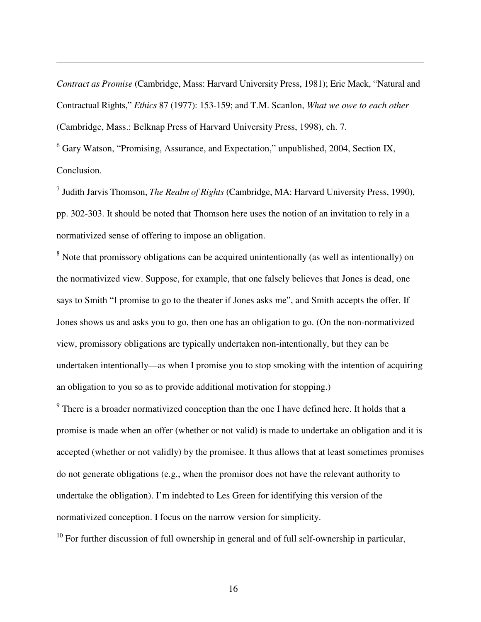*Contract as Promise* (Cambridge, Mass: Harvard University Press, 1981); Eric Mack, "Natural and Contractual Rights," *Ethics* 87 (1977): 153-159; and T.M. Scanlon, *What we owe to each other*  (Cambridge, Mass.: Belknap Press of Harvard University Press, 1998), ch. 7.

<sup>6</sup> Gary Watson, "Promising, Assurance, and Expectation," unpublished, 2004, Section IX, Conclusion.

 $\overline{a}$ 

7 Judith Jarvis Thomson, *The Realm of Rights* (Cambridge, MA: Harvard University Press, 1990), pp. 302-303. It should be noted that Thomson here uses the notion of an invitation to rely in a normativized sense of offering to impose an obligation.

<sup>8</sup> Note that promissory obligations can be acquired unintentionally (as well as intentionally) on the normativized view. Suppose, for example, that one falsely believes that Jones is dead, one says to Smith "I promise to go to the theater if Jones asks me", and Smith accepts the offer. If Jones shows us and asks you to go, then one has an obligation to go. (On the non-normativized view, promissory obligations are typically undertaken non-intentionally, but they can be undertaken intentionally—as when I promise you to stop smoking with the intention of acquiring an obligation to you so as to provide additional motivation for stopping.)

 $9$  There is a broader normativized conception than the one I have defined here. It holds that a promise is made when an offer (whether or not valid) is made to undertake an obligation and it is accepted (whether or not validly) by the promisee. It thus allows that at least sometimes promises do not generate obligations (e.g., when the promisor does not have the relevant authority to undertake the obligation). I'm indebted to Les Green for identifying this version of the normativized conception. I focus on the narrow version for simplicity.

 $10$  For further discussion of full ownership in general and of full self-ownership in particular,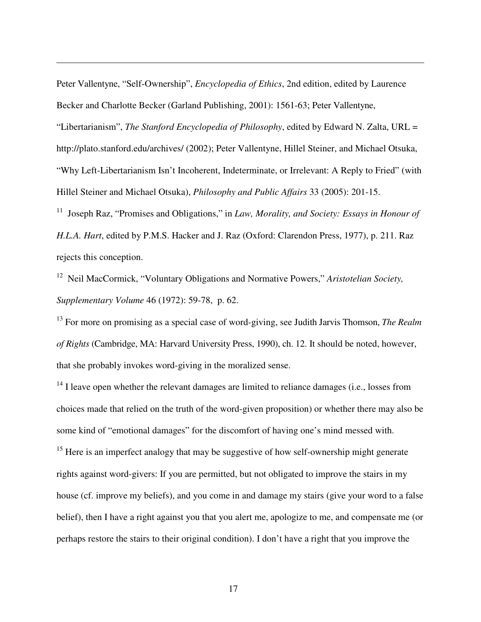Peter Vallentyne, "Self-Ownership", *Encyclopedia of Ethics*, 2nd edition, edited by Laurence Becker and Charlotte Becker (Garland Publishing, 2001): 1561-63; Peter Vallentyne,

 $\overline{a}$ 

"Libertarianism", *The Stanford Encyclopedia of Philosophy*, edited by Edward N. Zalta, URL = http://plato.stanford.edu/archives/ (2002); Peter Vallentyne, Hillel Steiner, and Michael Otsuka, "Why Left-Libertarianism Isn't Incoherent, Indeterminate, or Irrelevant: A Reply to Fried" (with Hillel Steiner and Michael Otsuka), *Philosophy and Public Affairs* 33 (2005): 201-15.

<sup>11</sup> Joseph Raz, "Promises and Obligations," in *Law, Morality, and Society: Essays in Honour of H.L.A. Hart*, edited by P.M.S. Hacker and J. Raz (Oxford: Clarendon Press, 1977), p. 211. Raz rejects this conception.

<sup>12</sup> Neil MacCormick, "Voluntary Obligations and Normative Powers," *Aristotelian Society, Supplementary Volume* 46 (1972): 59-78, p. 62.

<sup>13</sup> For more on promising as a special case of word-giving, see Judith Jarvis Thomson, *The Realm of Rights* (Cambridge, MA: Harvard University Press, 1990), ch. 12. It should be noted, however, that she probably invokes word-giving in the moralized sense.

 $14$  I leave open whether the relevant damages are limited to reliance damages (i.e., losses from choices made that relied on the truth of the word-given proposition) or whether there may also be some kind of "emotional damages" for the discomfort of having one's mind messed with.

<sup>15</sup> Here is an imperfect analogy that may be suggestive of how self-ownership might generate rights against word-givers: If you are permitted, but not obligated to improve the stairs in my house (cf. improve my beliefs), and you come in and damage my stairs (give your word to a false belief), then I have a right against you that you alert me, apologize to me, and compensate me (or perhaps restore the stairs to their original condition). I don't have a right that you improve the